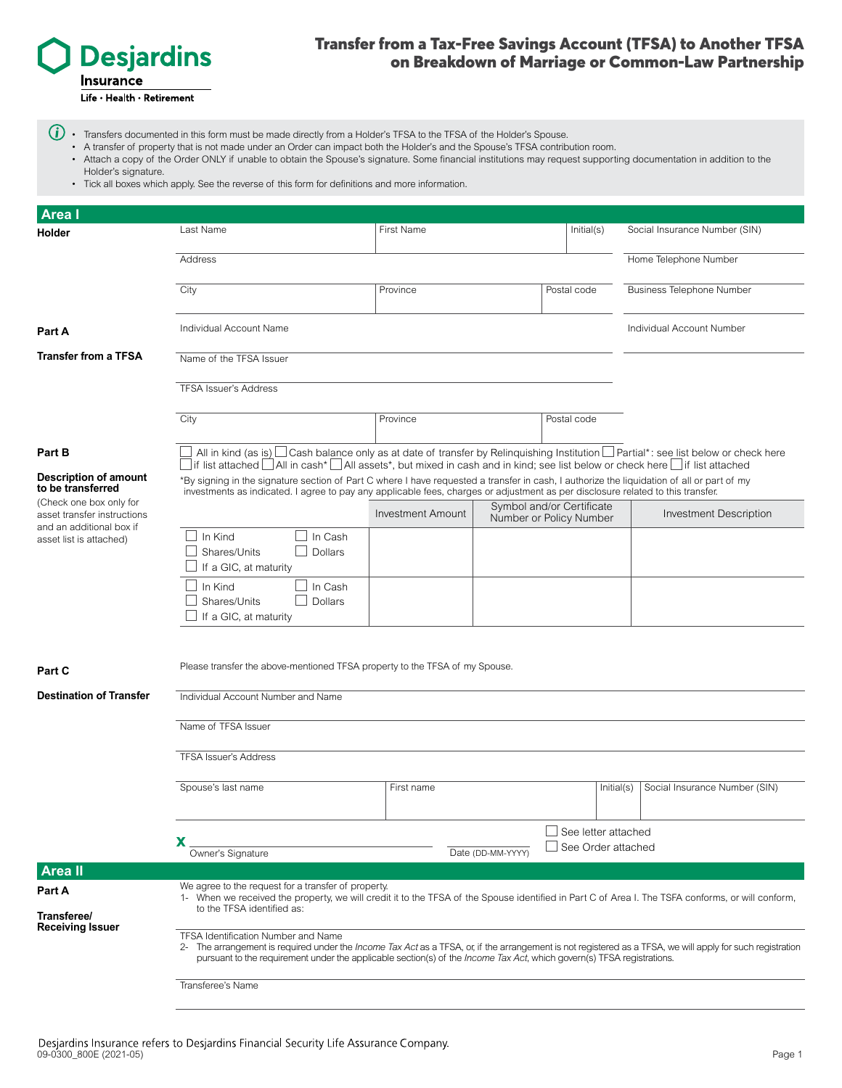

# Transfer from a Tax-Free Savings Account (TFSA) to Another TFSA on Breakdown of Marriage or Common-Law Partnership

- $\bigoplus$   $\cdot$  Transfers documented in this form must be made directly from a Holder's TFSA to the TFSA of the Holder's Spouse.
	- A transfer of property that is not made under an Order can impact both the Holder's and the Spouse's TFSA contribution room.
	- Attach a copy of the Order ONLY if unable to obtain the Spouse's signature. Some financial institutions may request supporting documentation in addition to the Holder's signature.
	- Tick all boxes which apply. See the reverse of this form for definitions and more information.

| <b>Areal</b>                                                                                                                                                       |                                                                                                                                                                                                                                                                                                                                            |                                                                                  |  |                               |                                  |  |
|--------------------------------------------------------------------------------------------------------------------------------------------------------------------|--------------------------------------------------------------------------------------------------------------------------------------------------------------------------------------------------------------------------------------------------------------------------------------------------------------------------------------------|----------------------------------------------------------------------------------|--|-------------------------------|----------------------------------|--|
| Holder                                                                                                                                                             | Last Name                                                                                                                                                                                                                                                                                                                                  | First Name                                                                       |  | Initial(s)                    | Social Insurance Number (SIN)    |  |
|                                                                                                                                                                    | Home Telephone Number<br>Address                                                                                                                                                                                                                                                                                                           |                                                                                  |  |                               |                                  |  |
|                                                                                                                                                                    | City                                                                                                                                                                                                                                                                                                                                       | Province                                                                         |  | Postal code                   | <b>Business Telephone Number</b> |  |
| <b>Part A</b>                                                                                                                                                      | Individual Account Name                                                                                                                                                                                                                                                                                                                    |                                                                                  |  |                               | Individual Account Number        |  |
| <b>Transfer from a TFSA</b>                                                                                                                                        | Name of the TFSA Issuer                                                                                                                                                                                                                                                                                                                    |                                                                                  |  |                               |                                  |  |
|                                                                                                                                                                    | <b>TFSA Issuer's Address</b>                                                                                                                                                                                                                                                                                                               |                                                                                  |  |                               |                                  |  |
|                                                                                                                                                                    | City                                                                                                                                                                                                                                                                                                                                       | Province<br>Postal code                                                          |  |                               |                                  |  |
| <b>Part B</b>                                                                                                                                                      | All in kind (as is) $\Box$ Cash balance only as at date of transfer by Relinquishing Institution $\Box$ Partial*: see list below or check here<br>If list attached $\Box$ All in cash* $\Box$ All assets*, but mixed in cash and in kind; see list below or check here $\Box$ if list attached                                             |                                                                                  |  |                               |                                  |  |
| <b>Description of amount</b><br>to be transferred<br>(Check one box only for<br>asset transfer instructions<br>and an additional box if<br>asset list is attached) | *By signing in the signature section of Part C where I have requested a transfer in cash, I authorize the liquidation of all or part of my<br>investments as indicated. I agree to pay any applicable fees, charges or adjustment as per disclosure related to this transfer.                                                              |                                                                                  |  |                               |                                  |  |
|                                                                                                                                                                    |                                                                                                                                                                                                                                                                                                                                            | Symbol and/or Certificate<br><b>Investment Amount</b><br>Number or Policy Number |  | <b>Investment Description</b> |                                  |  |
|                                                                                                                                                                    | In Kind<br>In Cash<br>Dollars<br>Shares/Units<br>If a GIC, at maturity                                                                                                                                                                                                                                                                     |                                                                                  |  |                               |                                  |  |
|                                                                                                                                                                    | In Kind<br>In Cash<br>Shares/Units<br>Dollars<br>If a GIC, at maturity                                                                                                                                                                                                                                                                     |                                                                                  |  |                               |                                  |  |
| <b>Part C</b>                                                                                                                                                      | Please transfer the above-mentioned TFSA property to the TFSA of my Spouse.                                                                                                                                                                                                                                                                |                                                                                  |  |                               |                                  |  |
| <b>Destination of Transfer</b>                                                                                                                                     | Individual Account Number and Name                                                                                                                                                                                                                                                                                                         |                                                                                  |  |                               |                                  |  |
|                                                                                                                                                                    | Name of TFSA Issuer                                                                                                                                                                                                                                                                                                                        |                                                                                  |  |                               |                                  |  |
|                                                                                                                                                                    | <b>TFSA Issuer's Address</b>                                                                                                                                                                                                                                                                                                               |                                                                                  |  |                               |                                  |  |
|                                                                                                                                                                    | Spouse's last name                                                                                                                                                                                                                                                                                                                         | First name                                                                       |  | Initial(s)                    | Social Insurance Number (SIN)    |  |
|                                                                                                                                                                    | See letter attached<br>x<br>See Order attached<br>Date (DD-MM-YYYY)<br>Owner's Signature                                                                                                                                                                                                                                                   |                                                                                  |  |                               |                                  |  |
| <b>Areall</b>                                                                                                                                                      |                                                                                                                                                                                                                                                                                                                                            |                                                                                  |  |                               |                                  |  |
| Part A                                                                                                                                                             | We agree to the request for a transfer of property.<br>1- When we received the property, we will credit it to the TFSA of the Spouse identified in Part C of Area I. The TSFA conforms, or will conform,<br>to the TFSA identified as:                                                                                                     |                                                                                  |  |                               |                                  |  |
| Transferee/<br><b>Receiving Issuer</b>                                                                                                                             |                                                                                                                                                                                                                                                                                                                                            |                                                                                  |  |                               |                                  |  |
|                                                                                                                                                                    | TFSA Identification Number and Name<br>2- The arrangement is required under the <i>Income Tax Act</i> as a TFSA, or, if the arrangement is not registered as a TFSA, we will apply for such registration<br>pursuant to the requirement under the applicable section(s) of the <i>Income Tax Act</i> , which govern(s) TFSA registrations. |                                                                                  |  |                               |                                  |  |
|                                                                                                                                                                    | Transferee's Name                                                                                                                                                                                                                                                                                                                          |                                                                                  |  |                               |                                  |  |